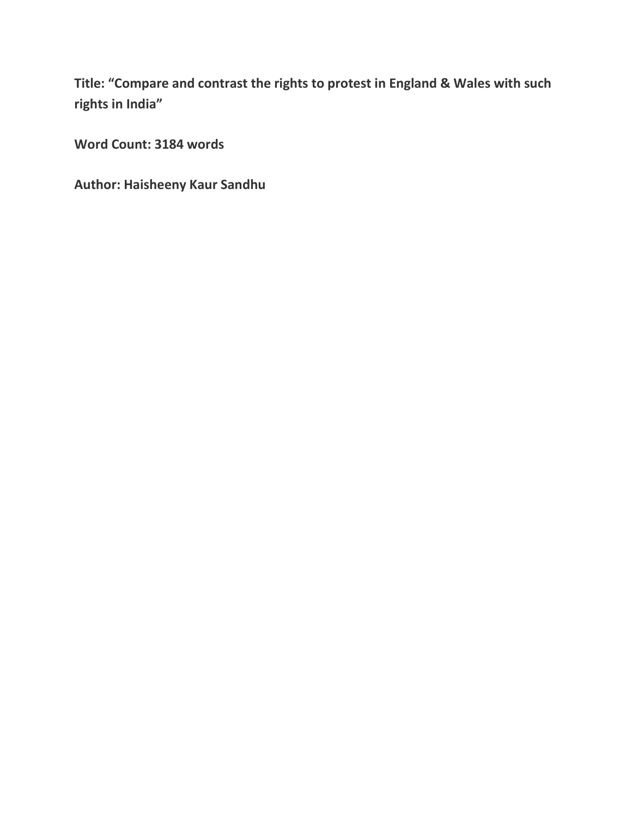**Title: "Compare and contrast the rights to protest in England & Wales with such rights in India"**

**Word Count: 3184 words**

**Author: Haisheeny Kaur Sandhu**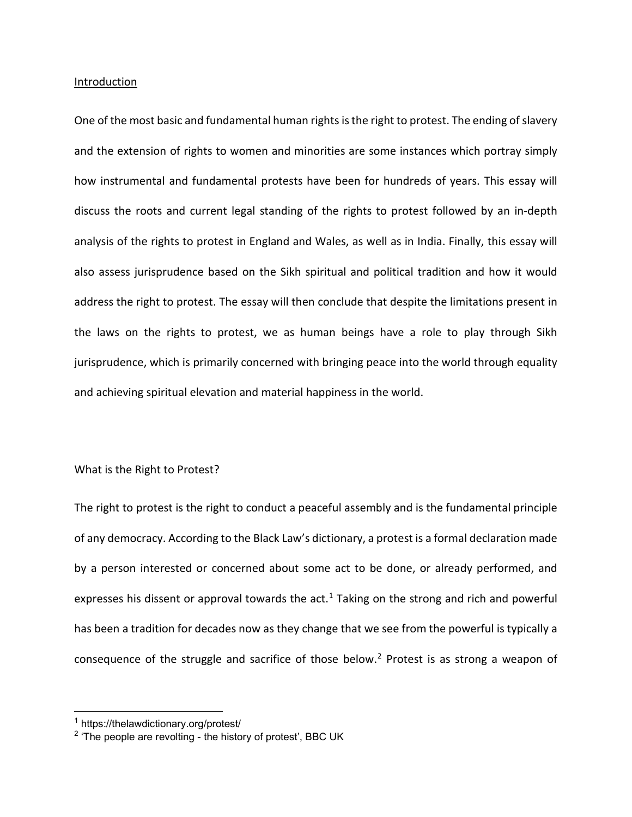#### Introduction

One of the most basic and fundamental human rights is the right to protest. The ending of slavery and the extension of rights to women and minorities are some instances which portray simply how instrumental and fundamental protests have been for hundreds of years. This essay will discuss the roots and current legal standing of the rights to protest followed by an in-depth analysis of the rights to protest in England and Wales, as well as in India. Finally, this essay will also assess jurisprudence based on the Sikh spiritual and political tradition and how it would address the right to protest. The essay will then conclude that despite the limitations present in the laws on the rights to protest, we as human beings have a role to play through Sikh jurisprudence, which is primarily concerned with bringing peace into the world through equality and achieving spiritual elevation and material happiness in the world.

### What is the Right to Protest?

The right to protest is the right to conduct a peaceful assembly and is the fundamental principle of any democracy. According to the Black Law's dictionary, a protest is a formal declaration made by a person interested or concerned about some act to be done, or already performed, and expresses his dissent or approval towards the  $act<sup>1</sup>$  $act<sup>1</sup>$  $act<sup>1</sup>$  Taking on the strong and rich and powerful has been a tradition for decades now as they change that we see from the powerful is typically a consequence of the struggle and sacrifice of those below.<sup>[2](#page-1-1)</sup> Protest is as strong a weapon of

<span id="page-1-0"></span><sup>1</sup> https://thelawdictionary.org/protest/

<span id="page-1-1"></span> $2$  'The people are revolting - the history of protest', BBC UK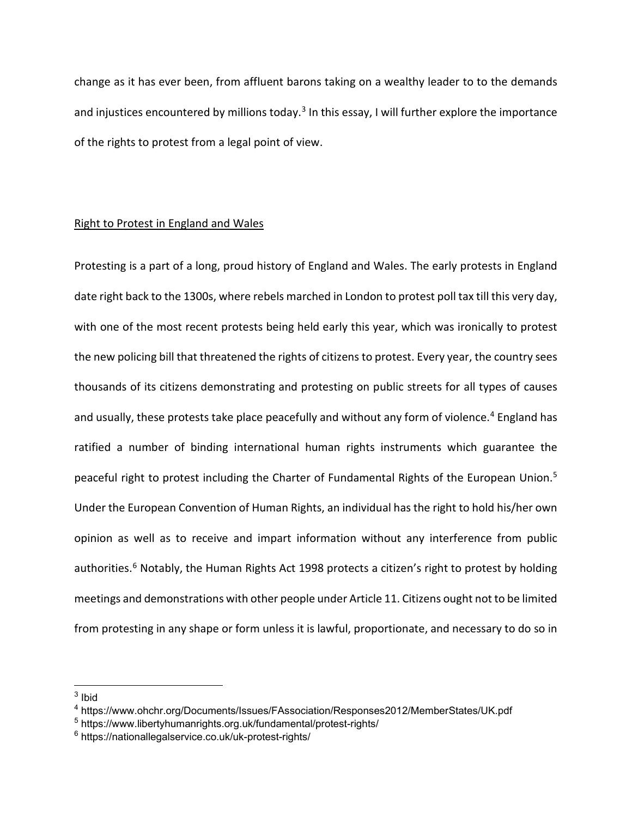change as it has ever been, from affluent barons taking on a wealthy leader to to the demands and injustices encountered by millions today.<sup>[3](#page-2-0)</sup> In this essay, I will further explore the importance of the rights to protest from a legal point of view.

## Right to Protest in England and Wales

Protesting is a part of a long, proud history of England and Wales. The early protests in England date right back to the 1300s, where rebels marched in London to protest poll tax till this very day, with one of the most recent protests being held early this year, which was ironically to protest the new policing bill that threatened the rights of citizens to protest. Every year, the country sees thousands of its citizens demonstrating and protesting on public streets for all types of causes and usually, these protests take place peacefully and without any form of violence.<sup>[4](#page-2-1)</sup> England has ratified a number of binding international human rights instruments which guarantee the peaceful right to protest including the Charter of Fundamental Rights of the European Union.<sup>[5](#page-2-2)</sup> Under the European Convention of Human Rights, an individual has the right to hold his/her own opinion as well as to receive and impart information without any interference from public authorities.<sup>[6](#page-2-3)</sup> Notably, the Human Rights Act 1998 protects a citizen's right to protest by holding meetings and demonstrations with other people under Article 11. Citizens ought not to be limited from protesting in any shape or form unless it is lawful, proportionate, and necessary to do so in

<span id="page-2-0"></span> $3$  Ibid

<span id="page-2-1"></span><sup>4</sup> https://www.ohchr.org/Documents/Issues/FAssociation/Responses2012/MemberStates/UK.pdf

<span id="page-2-2"></span><sup>5</sup> https://www.libertyhumanrights.org.uk/fundamental/protest-rights/

<span id="page-2-3"></span><sup>6</sup> https://nationallegalservice.co.uk/uk-protest-rights/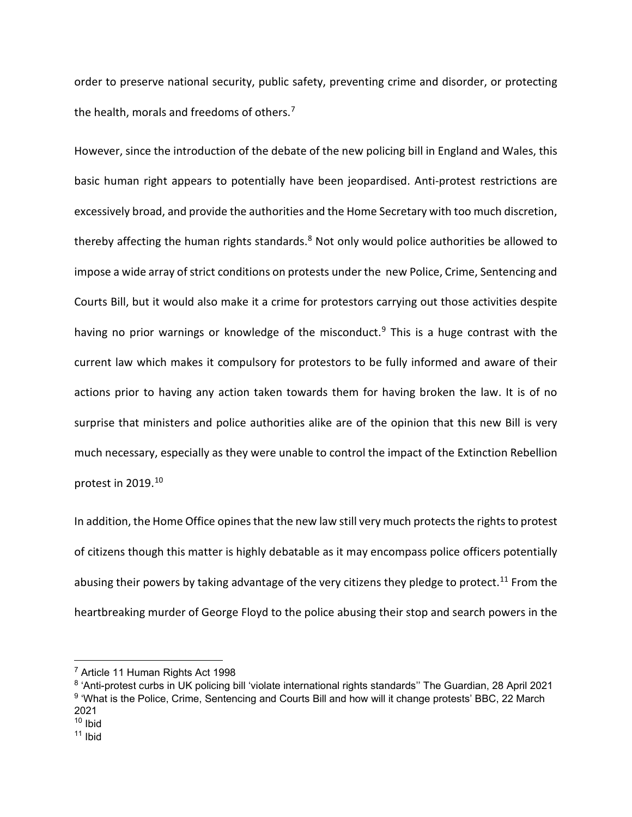order to preserve national security, public safety, preventing crime and disorder, or protecting the health, morals and freedoms of others.<sup>[7](#page-3-0)</sup>

However, since the introduction of the debate of the new policing bill in England and Wales, this basic human right appears to potentially have been jeopardised. Anti-protest restrictions are excessively broad, and provide the authorities and the Home Secretary with too much discretion, thereby affecting the human rights standards.<sup>8</sup> Not only would police authorities be allowed to impose a wide array of strict conditions on protests under the new Police, Crime, Sentencing and Courts Bill, but it would also make it a crime for protestors carrying out those activities despite having no prior warnings or knowledge of the misconduct.<sup>[9](#page-3-2)</sup> This is a huge contrast with the current law which makes it compulsory for protestors to be fully informed and aware of their actions prior to having any action taken towards them for having broken the law. It is of no surprise that ministers and police authorities alike are of the opinion that this new Bill is very much necessary, especially as they were unable to control the impact of the Extinction Rebellion protest in 2019.[10](#page-3-3)

In addition, the Home Office opines that the new law still very much protects the rights to protest of citizens though this matter is highly debatable as it may encompass police officers potentially abusing their powers by taking advantage of the very citizens they pledge to protect.<sup>[11](#page-3-4)</sup> From the heartbreaking murder of George Floyd to the police abusing their stop and search powers in the

<span id="page-3-0"></span><sup>7</sup> Article 11 Human Rights Act 1998

<span id="page-3-2"></span><span id="page-3-1"></span><sup>8</sup> 'Anti-protest curbs in UK policing bill 'violate international rights standards'' The Guardian, 28 April 2021 <sup>9</sup> 'What is the Police, Crime, Sentencing and Courts Bill and how will it change protests' BBC, 22 March 2021

<span id="page-3-3"></span> $10$  Ibid

<span id="page-3-4"></span> $11$  Ibid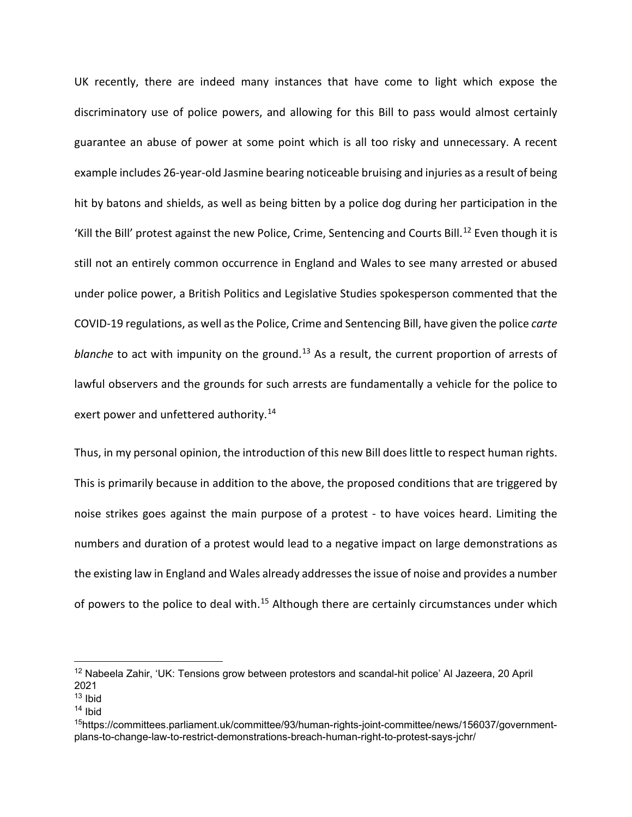UK recently, there are indeed many instances that have come to light which expose the discriminatory use of police powers, and allowing for this Bill to pass would almost certainly guarantee an abuse of power at some point which is all too risky and unnecessary. A recent example includes 26-year-old Jasmine bearing noticeable bruising and injuries as a result of being hit by batons and shields, as well as being bitten by a police dog during her participation in the 'Kill the Bill' protest against the new Police, Crime, Sentencing and Courts Bill.<sup>[12](#page-4-0)</sup> Even though it is still not an entirely common occurrence in England and Wales to see many arrested or abused under police power, a British Politics and Legislative Studies spokesperson commented that the COVID-19 regulations, as well as the Police, Crime and Sentencing Bill, have given the police *carte blanche* to act with impunity on the ground.<sup>[13](#page-4-1)</sup> As a result, the current proportion of arrests of lawful observers and the grounds for such arrests are fundamentally a vehicle for the police to exert power and unfettered authority.<sup>[14](#page-4-2)</sup>

Thus, in my personal opinion, the introduction of this new Bill does little to respect human rights. This is primarily because in addition to the above, the proposed conditions that are triggered by noise strikes goes against the main purpose of a protest - to have voices heard. Limiting the numbers and duration of a protest would lead to a negative impact on large demonstrations as the existing law in England and Wales already addresses the issue of noise and provides a number of powers to the police to deal with.<sup>[15](#page-4-3)</sup> Although there are certainly circumstances under which

<span id="page-4-0"></span><sup>&</sup>lt;sup>12</sup> Nabeela Zahir, 'UK: Tensions grow between protestors and scandal-hit police' Al Jazeera, 20 April 2021

<span id="page-4-1"></span> $13$  Ibid

<span id="page-4-2"></span> $14$  Ibid

<span id="page-4-3"></span><sup>15</sup>https://committees.parliament.uk/committee/93/human-rights-joint-committee/news/156037/governmentplans-to-change-law-to-restrict-demonstrations-breach-human-right-to-protest-says-jchr/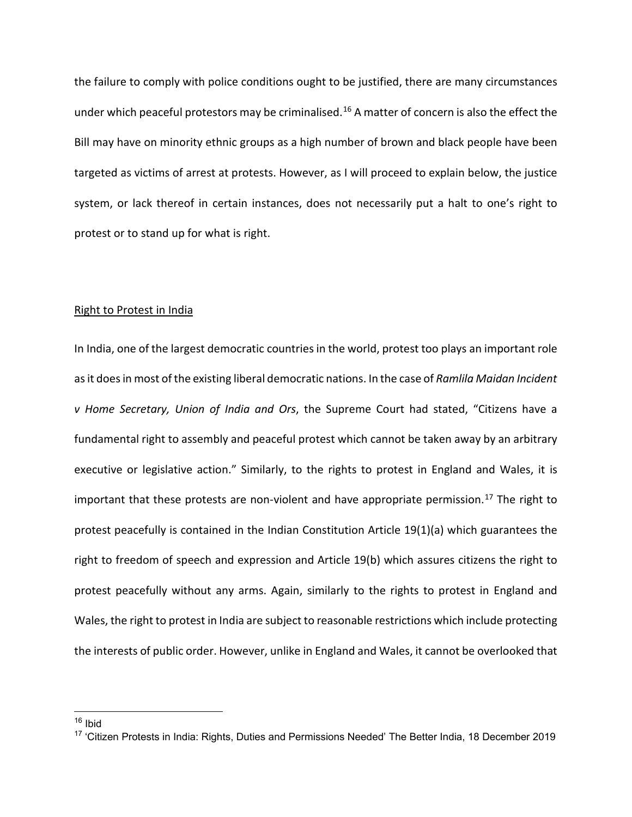the failure to comply with police conditions ought to be justified, there are many circumstances under which peaceful protestors may be criminalised.<sup>[16](#page-5-0)</sup> A matter of concern is also the effect the Bill may have on minority ethnic groups as a high number of brown and black people have been targeted as victims of arrest at protests. However, as I will proceed to explain below, the justice system, or lack thereof in certain instances, does not necessarily put a halt to one's right to protest or to stand up for what is right.

### Right to Protest in India

In India, one of the largest democratic countries in the world, protest too plays an important role as it does in most of the existing liberal democratic nations. In the case of *Ramlila Maidan Incident v Home Secretary, Union of India and Ors*, the Supreme Court had stated, "Citizens have a fundamental right to assembly and peaceful protest which cannot be taken away by an arbitrary executive or legislative action." Similarly, to the rights to protest in England and Wales, it is important that these protests are non-violent and have appropriate permission.<sup>[17](#page-5-1)</sup> The right to protest peacefully is contained in the Indian Constitution Article 19(1)(a) which guarantees the right to freedom of speech and expression and Article 19(b) which assures citizens the right to protest peacefully without any arms. Again, similarly to the rights to protest in England and Wales, the right to protest in India are subject to reasonable restrictions which include protecting the interests of public order. However, unlike in England and Wales, it cannot be overlooked that

<span id="page-5-0"></span> $16$  Ibid

<span id="page-5-1"></span><sup>&</sup>lt;sup>17</sup> 'Citizen Protests in India: Rights, Duties and Permissions Needed' The Better India, 18 December 2019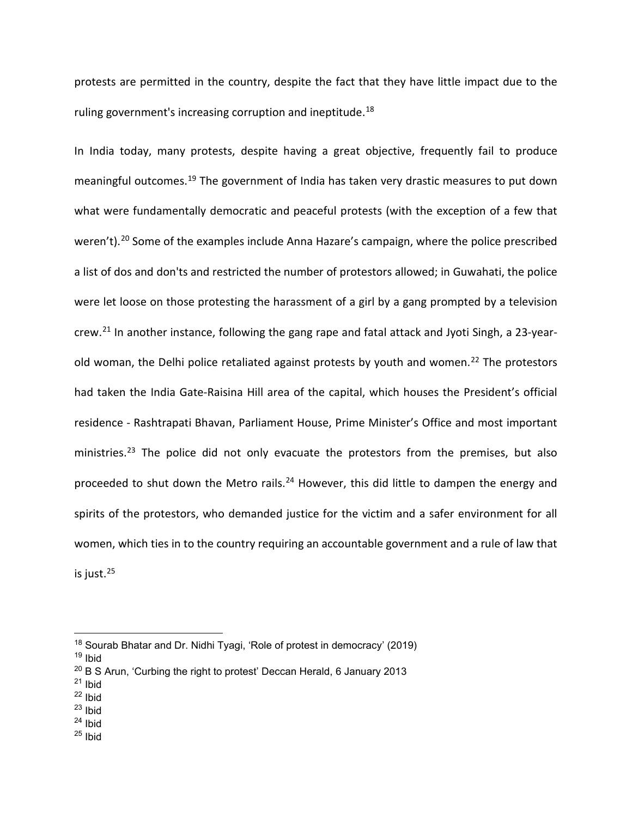protests are permitted in the country, despite the fact that they have little impact due to the ruling government's increasing corruption and ineptitude.<sup>18</sup>

In India today, many protests, despite having a great objective, frequently fail to produce meaningful outcomes.[19](#page-6-1) The government of India has taken very drastic measures to put down what were fundamentally democratic and peaceful protests (with the exception of a few that weren't).<sup>[20](#page-6-2)</sup> Some of the examples include Anna Hazare's campaign, where the police prescribed a list of dos and don'ts and restricted the number of protestors allowed; in Guwahati, the police were let loose on those protesting the harassment of a girl by a gang prompted by a television crew.[21](#page-6-3) In another instance, following the gang rape and fatal attack and Jyoti Singh, a 23-year-old woman, the Delhi police retaliated against protests by youth and women.<sup>[22](#page-6-4)</sup> The protestors had taken the India Gate-Raisina Hill area of the capital, which houses the President's official residence - Rashtrapati Bhavan, Parliament House, Prime Minister's Office and most important ministries.<sup>[23](#page-6-5)</sup> The police did not only evacuate the protestors from the premises, but also proceeded to shut down the Metro rails.<sup>[24](#page-6-6)</sup> However, this did little to dampen the energy and spirits of the protestors, who demanded justice for the victim and a safer environment for all women, which ties in to the country requiring an accountable government and a rule of law that is just.[25](#page-6-7)

<span id="page-6-1"></span><sup>19</sup> Ibid

- <span id="page-6-3"></span> $21$  Ibid
- <span id="page-6-4"></span> $22$  Ibid
- <span id="page-6-5"></span> $23$  Ibid
- <span id="page-6-6"></span> $24$  Ibid
- <span id="page-6-7"></span> $25$  Ibid

<span id="page-6-0"></span><sup>&</sup>lt;sup>18</sup> Sourab Bhatar and Dr. Nidhi Tyagi, 'Role of protest in democracy' (2019)

<span id="page-6-2"></span> $20$  B S Arun, 'Curbing the right to protest' Deccan Herald, 6 January 2013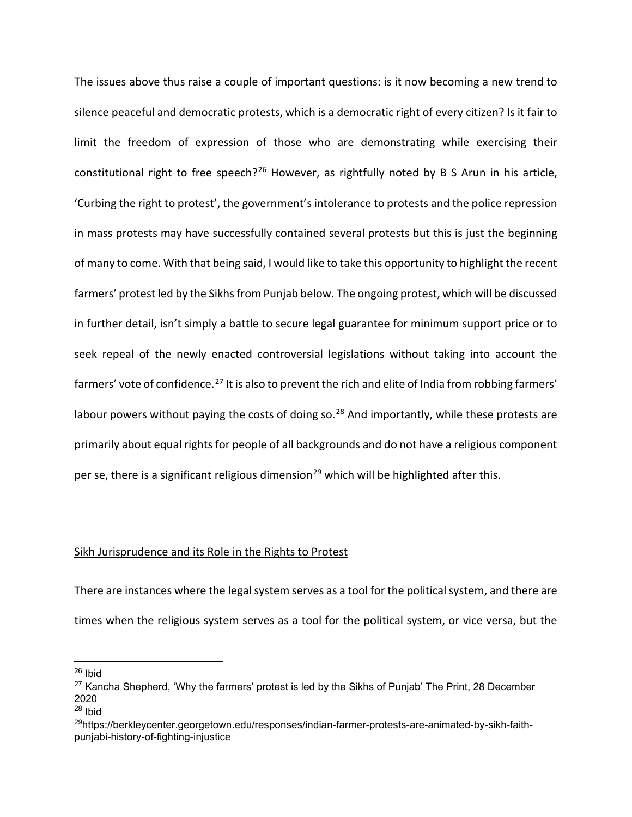The issues above thus raise a couple of important questions: is it now becoming a new trend to silence peaceful and democratic protests, which is a democratic right of every citizen? Is it fair to limit the freedom of expression of those who are demonstrating while exercising their constitutional right to free speech?<sup>[26](#page-7-0)</sup> However, as rightfully noted by B S Arun in his article, 'Curbing the right to protest', the government's intolerance to protests and the police repression in mass protests may have successfully contained several protests but this is just the beginning of many to come. With that being said, I would like to take this opportunity to highlight the recent farmers' protest led by the Sikhs from Punjab below. The ongoing protest, which will be discussed in further detail, isn't simply a battle to secure legal guarantee for minimum support price or to seek repeal of the newly enacted controversial legislations without taking into account the farmers' vote of confidence.<sup>[27](#page-7-1)</sup> It is also to prevent the rich and elite of India from robbing farmers' labour powers without paying the costs of doing so. $^{28}$  $^{28}$  $^{28}$  And importantly, while these protests are primarily about equal rights for people of all backgrounds and do not have a religious component per se, there is a significant religious dimension<sup>[29](#page-7-3)</sup> which will be highlighted after this.

### Sikh Jurisprudence and its Role in the Rights to Protest

There are instances where the legal system serves as a tool for the political system, and there are times when the religious system serves as a tool for the political system, or vice versa, but the

<span id="page-7-0"></span> $26$  Ibid

<span id="page-7-1"></span> $27$  Kancha Shepherd, 'Why the farmers' protest is led by the Sikhs of Punjab' The Print, 28 December 2020

<span id="page-7-2"></span> $28$  Ibid

<span id="page-7-3"></span><sup>&</sup>lt;sup>29</sup>https://berkleycenter.georgetown.edu/responses/indian-farmer-protests-are-animated-by-sikh-faithpunjabi-history-of-fighting-injustice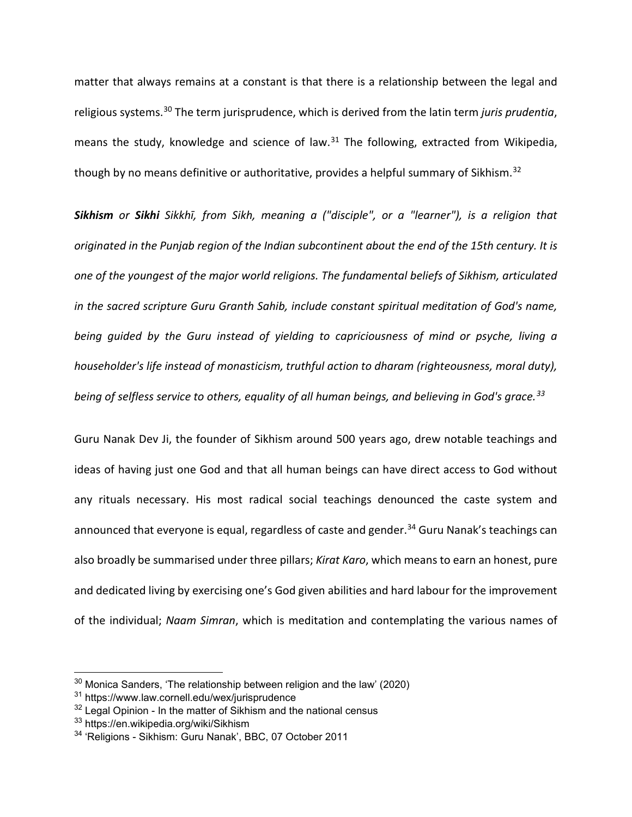matter that always remains at a constant is that there is a relationship between the legal and religious systems.[30](#page-8-0) The term jurisprudence, which is derived from the latin term *juris prudentia*, means the study, knowledge and science of law. $31$  The following, extracted from Wikipedia, though by no means definitive or authoritative, provides a helpful summary of Sikhism.<sup>[32](#page-8-2)</sup>

*Sikhism or Sikhi Sikkhī, from Sikh, meaning a ("disciple", or a "learner"), is a religion that originated in the Punjab region of the Indian subcontinent about the end of the 15th century. It is one of the youngest of the major world religions. The fundamental beliefs of Sikhism, articulated in the sacred scripture Guru Granth Sahib, include constant spiritual meditation of God's name, being guided by the Guru instead of yielding to capriciousness of mind or psyche, living a householder's life instead of monasticism, truthful action to dharam (righteousness, moral duty), being of selfless service to others, equality of all human beings, and believing in God's grace.[33](#page-8-3)*

Guru Nanak Dev Ji, the founder of Sikhism around 500 years ago, drew notable teachings and ideas of having just one God and that all human beings can have direct access to God without any rituals necessary. His most radical social teachings denounced the caste system and announced that everyone is equal, regardless of caste and gender.<sup>[34](#page-8-4)</sup> Guru Nanak's teachings can also broadly be summarised under three pillars; *Kirat Karo*, which means to earn an honest, pure and dedicated living by exercising one's God given abilities and hard labour for the improvement of the individual; *Naam Simran*, which is meditation and contemplating the various names of

<span id="page-8-0"></span> $30$  Monica Sanders, 'The relationship between religion and the law' (2020)

<span id="page-8-1"></span><sup>31</sup> https://www.law.cornell.edu/wex/jurisprudence

<span id="page-8-2"></span> $32$  Legal Opinion - In the matter of Sikhism and the national census

<span id="page-8-3"></span><sup>33</sup> https://en.wikipedia.org/wiki/Sikhism

<span id="page-8-4"></span><sup>34</sup> 'Religions - Sikhism: Guru Nanak', BBC, 07 October 2011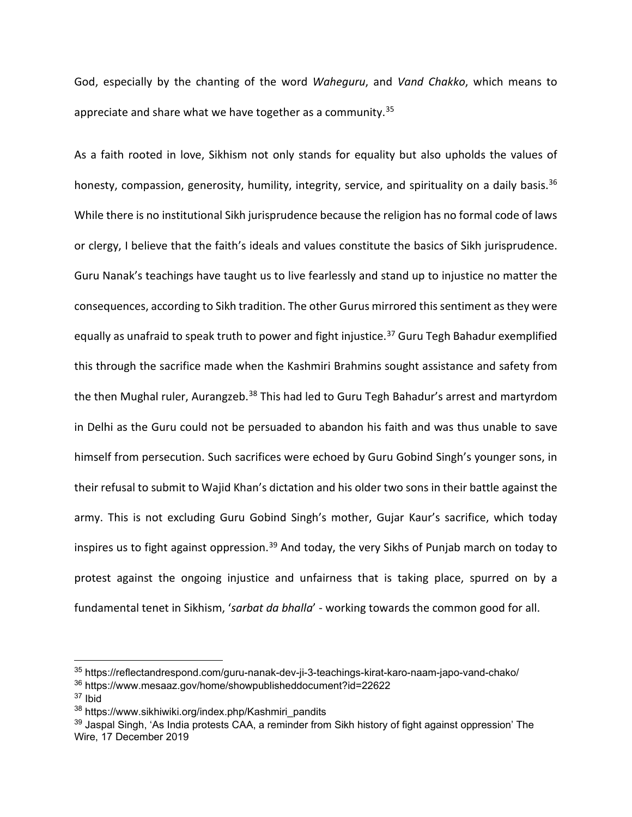God, especially by the chanting of the word *Waheguru*, and *Vand Chakko*, which means to appreciate and share what we have together as a community.<sup>[35](#page-9-0)</sup>

As a faith rooted in love, Sikhism not only stands for equality but also upholds the values of honesty, compassion, generosity, humility, integrity, service, and spirituality on a daily basis.<sup>[36](#page-9-1)</sup> While there is no institutional Sikh jurisprudence because the religion has no formal code of laws or clergy, I believe that the faith's ideals and values constitute the basics of Sikh jurisprudence. Guru Nanak's teachings have taught us to live fearlessly and stand up to injustice no matter the consequences, according to Sikh tradition. The other Gurus mirrored this sentiment as they were equally as unafraid to speak truth to power and fight injustice.<sup>[37](#page-9-2)</sup> Guru Tegh Bahadur exemplified this through the sacrifice made when the Kashmiri Brahmins sought assistance and safety from the then Mughal ruler, Aurangzeb.<sup>[38](#page-9-3)</sup> This had led to Guru Tegh Bahadur's arrest and martyrdom in Delhi as the Guru could not be persuaded to abandon his faith and was thus unable to save himself from persecution. Such sacrifices were echoed by Guru Gobind Singh's younger sons, in their refusal to submit to Wajid Khan's dictation and his older two sons in their battle against the army. This is not excluding Guru Gobind Singh's mother, Gujar Kaur's sacrifice, which today inspires us to fight against oppression.<sup>[39](#page-9-4)</sup> And today, the very Sikhs of Punjab march on today to protest against the ongoing injustice and unfairness that is taking place, spurred on by a fundamental tenet in Sikhism, '*sarbat da bhalla*' - working towards the common good for all.

<span id="page-9-0"></span><sup>35</sup> https://reflectandrespond.com/guru-nanak-dev-ji-3-teachings-kirat-karo-naam-japo-vand-chako/

<span id="page-9-1"></span><sup>36</sup> https://www.mesaaz.gov/home/showpublisheddocument?id=22622

<span id="page-9-2"></span> $37$  Ibid

<span id="page-9-3"></span><sup>38</sup> https://www.sikhiwiki.org/index.php/Kashmiri\_pandits

<span id="page-9-4"></span><sup>&</sup>lt;sup>39</sup> Jaspal Singh, 'As India protests CAA, a reminder from Sikh history of fight against oppression' The Wire, 17 December 2019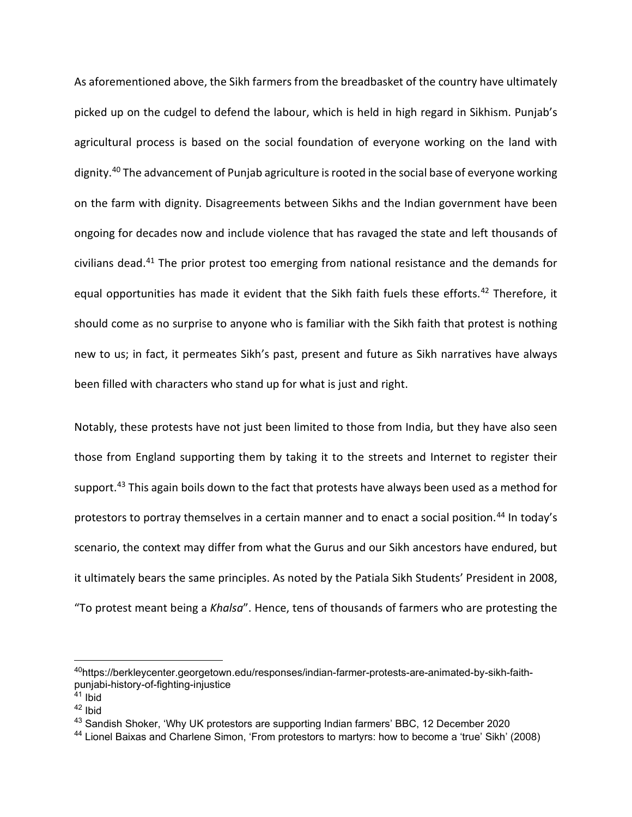As aforementioned above, the Sikh farmers from the breadbasket of the country have ultimately picked up on the cudgel to defend the labour, which is held in high regard in Sikhism. Punjab's agricultural process is based on the social foundation of everyone working on the land with dignity.<sup>[40](#page-10-0)</sup> The advancement of Punjab agriculture is rooted in the social base of everyone working on the farm with dignity. Disagreements between Sikhs and the Indian government have been ongoing for decades now and include violence that has ravaged the state and left thousands of civilians dead.[41](#page-10-1) The prior protest too emerging from national resistance and the demands for equal opportunities has made it evident that the Sikh faith fuels these efforts.<sup>[42](#page-10-2)</sup> Therefore, it should come as no surprise to anyone who is familiar with the Sikh faith that protest is nothing new to us; in fact, it permeates Sikh's past, present and future as Sikh narratives have always been filled with characters who stand up for what is just and right.

Notably, these protests have not just been limited to those from India, but they have also seen those from England supporting them by taking it to the streets and Internet to register their support.<sup>[43](#page-10-3)</sup> This again boils down to the fact that protests have always been used as a method for protestors to portray themselves in a certain manner and to enact a social position.<sup>[44](#page-10-4)</sup> In today's scenario, the context may differ from what the Gurus and our Sikh ancestors have endured, but it ultimately bears the same principles. As noted by the Patiala Sikh Students' President in 2008, "To protest meant being a *Khalsa*". Hence, tens of thousands of farmers who are protesting the

<span id="page-10-0"></span><sup>40</sup>https://berkleycenter.georgetown.edu/responses/indian-farmer-protests-are-animated-by-sikh-faithpunjabi-history-of-fighting-injustice

<span id="page-10-1"></span> $41$  Ibid

<span id="page-10-2"></span><sup>42</sup> Ibid

<span id="page-10-3"></span><sup>&</sup>lt;sup>43</sup> Sandish Shoker, 'Why UK protestors are supporting Indian farmers' BBC, 12 December 2020

<span id="page-10-4"></span><sup>44</sup> Lionel Baixas and Charlene Simon, 'From protestors to martyrs: how to become a 'true' Sikh' (2008)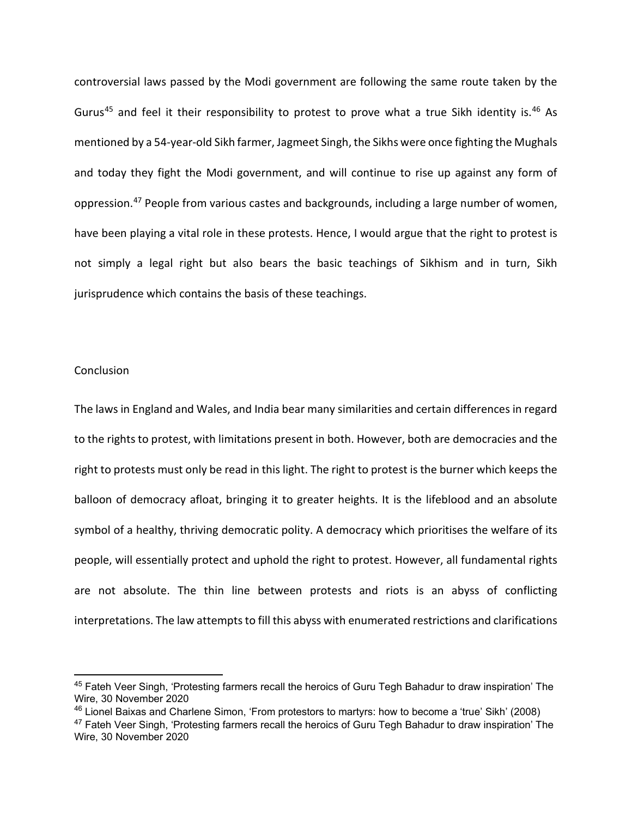controversial laws passed by the Modi government are following the same route taken by the Gurus<sup>[45](#page-11-0)</sup> and feel it their responsibility to protest to prove what a true Sikh identity is.<sup>[46](#page-11-1)</sup> As mentioned by a 54-year-old Sikh farmer, Jagmeet Singh, the Sikhs were once fighting the Mughals and today they fight the Modi government, and will continue to rise up against any form of oppression[.47](#page-11-2) People from various castes and backgrounds, including a large number of women, have been playing a vital role in these protests. Hence, I would argue that the right to protest is not simply a legal right but also bears the basic teachings of Sikhism and in turn, Sikh jurisprudence which contains the basis of these teachings.

### **Conclusion**

The laws in England and Wales, and India bear many similarities and certain differences in regard to the rights to protest, with limitations present in both. However, both are democracies and the right to protests must only be read in this light. The right to protest is the burner which keeps the balloon of democracy afloat, bringing it to greater heights. It is the lifeblood and an absolute symbol of a healthy, thriving democratic polity. A democracy which prioritises the welfare of its people, will essentially protect and uphold the right to protest. However, all fundamental rights are not absolute. The thin line between protests and riots is an abyss of conflicting interpretations. The law attempts to fill this abyss with enumerated restrictions and clarifications

<span id="page-11-0"></span><sup>&</sup>lt;sup>45</sup> Fateh Veer Singh, 'Protesting farmers recall the heroics of Guru Tegh Bahadur to draw inspiration' The Wire, 30 November 2020

<span id="page-11-1"></span><sup>46</sup> Lionel Baixas and Charlene Simon, 'From protestors to martyrs: how to become a 'true' Sikh' (2008)

<span id="page-11-2"></span><sup>&</sup>lt;sup>47</sup> Fateh Veer Singh, 'Protesting farmers recall the heroics of Guru Tegh Bahadur to draw inspiration' The Wire, 30 November 2020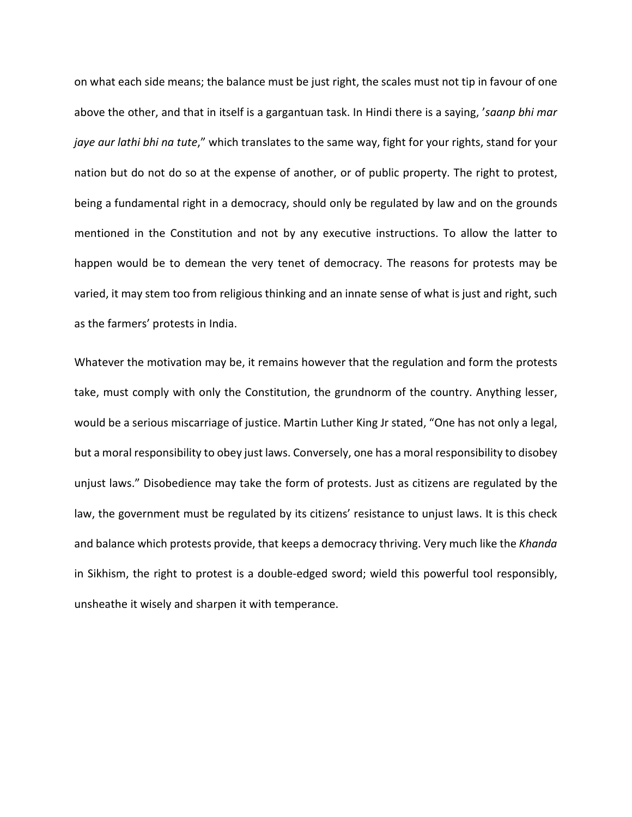on what each side means; the balance must be just right, the scales must not tip in favour of one above the other, and that in itself is a gargantuan task. In Hindi there is a saying, '*saanp bhi mar jaye aur lathi bhi na tute*," which translates to the same way, fight for your rights, stand for your nation but do not do so at the expense of another, or of public property. The right to protest, being a fundamental right in a democracy, should only be regulated by law and on the grounds mentioned in the Constitution and not by any executive instructions. To allow the latter to happen would be to demean the very tenet of democracy. The reasons for protests may be varied, it may stem too from religious thinking and an innate sense of what is just and right, such as the farmers' protests in India.

Whatever the motivation may be, it remains however that the regulation and form the protests take, must comply with only the Constitution, the grundnorm of the country. Anything lesser, would be a serious miscarriage of justice. Martin Luther King Jr stated, "One has not only a legal, but a moral responsibility to obey just laws. Conversely, one has a moral responsibility to disobey unjust laws." Disobedience may take the form of protests. Just as citizens are regulated by the law, the government must be regulated by its citizens' resistance to unjust laws. It is this check and balance which protests provide, that keeps a democracy thriving. Very much like the *Khanda* in Sikhism, the right to protest is a double-edged sword; wield this powerful tool responsibly, unsheathe it wisely and sharpen it with temperance.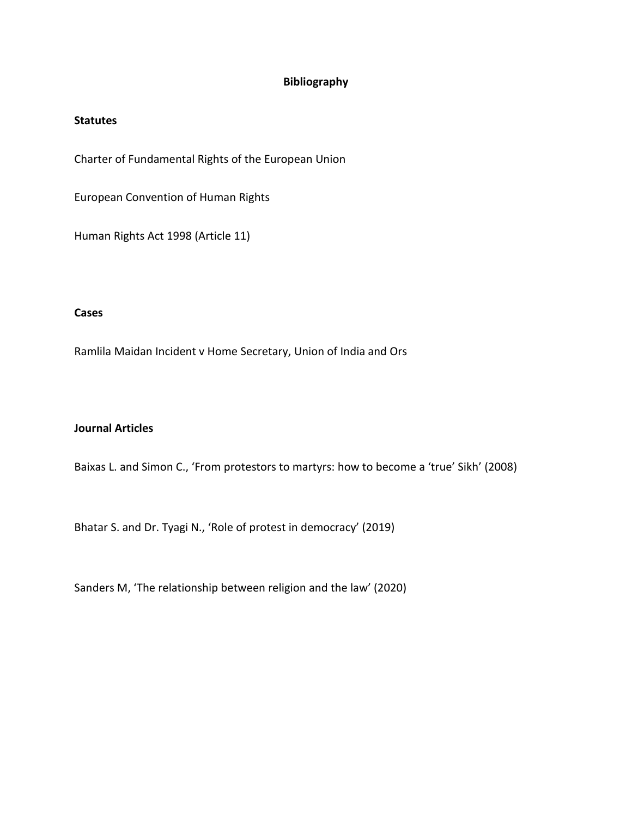# **Bibliography**

## **Statutes**

Charter of Fundamental Rights of the European Union

European Convention of Human Rights

Human Rights Act 1998 (Article 11)

# **Cases**

Ramlila Maidan Incident v Home Secretary, Union of India and Ors

## **Journal Articles**

Baixas L. and Simon C., 'From protestors to martyrs: how to become a 'true' Sikh' (2008)

Bhatar S. and Dr. Tyagi N., 'Role of protest in democracy' (2019)

Sanders M, 'The relationship between religion and the law' (2020)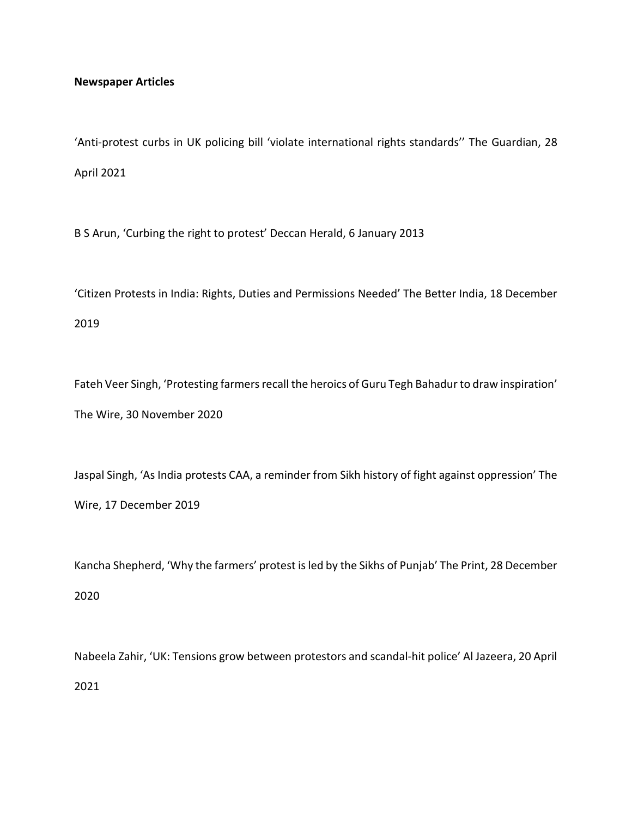## **Newspaper Articles**

'Anti-protest curbs in UK policing bill 'violate international rights standards'' The Guardian, 28 April 2021

B S Arun, 'Curbing the right to protest' Deccan Herald, 6 January 2013

'Citizen Protests in India: Rights, Duties and Permissions Needed' The Better India, 18 December 2019

Fateh Veer Singh, 'Protesting farmers recall the heroics of Guru Tegh Bahadur to draw inspiration' The Wire, 30 November 2020

Jaspal Singh, 'As India protests CAA, a reminder from Sikh history of fight against oppression' The Wire, 17 December 2019

Kancha Shepherd, 'Why the farmers' protest is led by the Sikhs of Punjab' The Print, 28 December 2020

Nabeela Zahir, 'UK: Tensions grow between protestors and scandal-hit police' Al Jazeera, 20 April 2021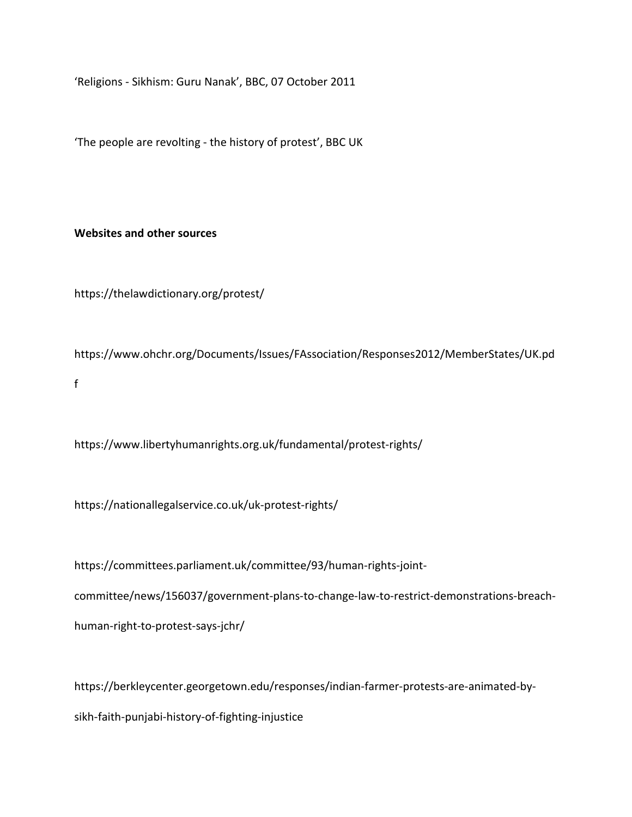'Religions - Sikhism: Guru Nanak', BBC, 07 October 2011

'The people are revolting - the history of protest', BBC UK

## **Websites and other sources**

https://thelawdictionary.org/protest/

https://www.ohchr.org/Documents/Issues/FAssociation/Responses2012/MemberStates/UK.pd f

https://www.libertyhumanrights.org.uk/fundamental/protest-rights/

https://nationallegalservice.co.uk/uk-protest-rights/

https://committees.parliament.uk/committee/93/human-rights-jointcommittee/news/156037/government-plans-to-change-law-to-restrict-demonstrations-breachhuman-right-to-protest-says-jchr/

https://berkleycenter.georgetown.edu/responses/indian-farmer-protests-are-animated-bysikh-faith-punjabi-history-of-fighting-injustice